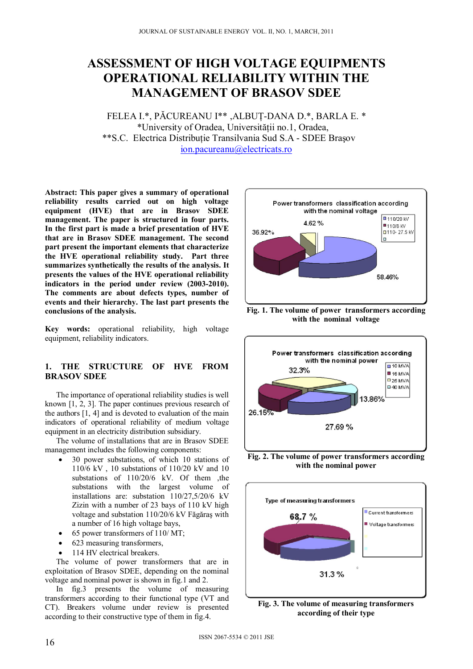# **ASSESSMENT OF HIGH VOLTAGE EQUIPMENTS OPERATIONAL RELIABILITY WITHIN THE MANAGEMENT OF BRASOV SDEE**

FELEA I.\*, PĂCUREANU I\*\* ,ALBUŢ-DANA D.\*, BARLA E. \* \*University of Oradea, Universităţii no.1, Oradea, \*\*S.C. Electrica Distributie Transilvania Sud S.A - SDEE Brasov ion.pacureanu@electricats.ro

**Abstract: This paper gives a summary of operational reliability results carried out on high voltage equipment (HVE) that are in Brasov SDEE management. The paper is structured in four parts. In the first part is made a brief presentation of HVE that are in Brasov SDEE management. The second part present the important elements that characterize the HVE operational reliability study. Part three summarizes synthetically the results of the analysis. It presents the values of the HVE operational reliability indicators in the period under review (2003-2010). The comments are about defects types, number of events and their hierarchy. The last part presents the conclusions of the analysis.** 

**Key words:** operational reliability, high voltage equipment, reliability indicators.

# **1. THE STRUCTURE OF HVE FROM BRASOV SDEE**

The importance of operational reliability studies is well known [1, 2, 3]. The paper continues previous research of the authors [1, 4] and is devoted to evaluation of the main indicators of operational reliability of medium voltage equipment in an electricity distribution subsidiary.

The volume of installations that are in Brasov SDEE management includes the following components:

- 30 power substations, of which 10 stations of 110/6 kV , 10 substations of 110/20 kV and 10 substations of  $110/20/6$  kV. Of them , the substations with the largest volume of installations are: substation 110/27,5/20/6 kV Zizin with a number of 23 bays of 110 kV high voltage and substation 110/20/6 kV Făgăraş with a number of 16 high voltage bays,
- 65 power transformers of 110/ MT;
- 623 measuring transformers,
- 114 HV electrical breakers.

The volume of power transformers that are in exploitation of Brasov SDEE, depending on the nominal voltage and nominal power is shown in fig.1 and 2.

In fig.3 presents the volume of measuring transformers according to their functional type (VT and CT). Breakers volume under review is presented according to their constructive type of them in fig.4.



**Fig. 1. The volume of power transformers according with the nominal voltage** 



**Fig. 2. The volume of power transformers according with the nominal power** 



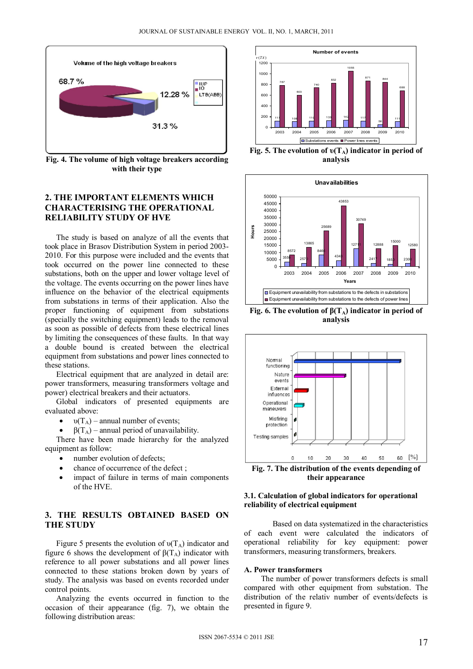

**Fig. 4. The volume of high voltage breakers according with their type** 

# **2. THE IMPORTANT ELEMENTS WHICH CHARACTERISING THE OPERATIONAL RELIABILITY STUDY OF HVE**

The study is based on analyze of all the events that took place in Brasov Distribution System in period 2003- 2010. For this purpose were included and the events that took occurred on the power line connected to these substations, both on the upper and lower voltage level of the voltage. The events occurring on the power lines have influence on the behavior of the electrical equipments from substations in terms of their application. Also the proper functioning of equipment from substations (specially the switching equipment) leads to the removal as soon as possible of defects from these electrical lines by limiting the consequences of these faults. In that way a double bound is created between the electrical equipment from substations and power lines connected to these stations.

Electrical equipment that are analyzed in detail are: power transformers, measuring transformers voltage and power) electrical breakers and their actuators.

Global indicators of presented equipments are evaluated above:

 $\bullet$   $\upsilon(T_A)$  – annual number of events;

 $β(T_A)$  – annual period of unavailability.

There have been made hierarchy for the analyzed equipment as follow:

- number evolution of defects;
- chance of occurrence of the defect ;
- impact of failure in terms of main components of the HVE.

## **3. THE RESULTS OBTAINED BASED ON THE STUDY**

Figure 5 presents the evolution of  $\nu(T_A)$  indicator and figure 6 shows the development of  $β(T_A)$  indicator with reference to all power substations and all power lines connected to these stations broken down by years of study. The analysis was based on events recorded under control points.

Analyzing the events occurred in function to the occasion of their appearance (fig. 7), we obtain the following distribution areas:



**Fig. 5. The evolution of υ(TA) indicator in period of analysis** 



**Fig. 6. The evolution of**  $β(T_A)$  **indicator in period of analysis** 



**Fig. 7. The distribution of the events depending of their appearance** 

## **3.1. Calculation of global indicators for operational reliability of electrical equipment**

Based on data systematized in the characteristics of each event were calculated the indicators of operational reliability for key equipment: power transformers, measuring transformers, breakers.

#### **A. Power transformers**

The number of power transformers defects is small compared with other equipment from substation. The distribution of the relativ number of events/defects is presented in figure 9.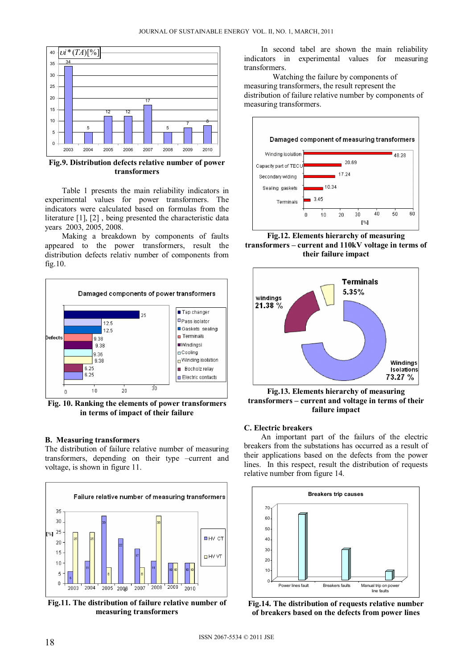

**Fig.9. Distribution defects relative number of power transformers** 

Table 1 presents the main reliability indicators in experimental values for power transformers. The indicators were calculated based on formulas from the literature [1], [2] , being presented the characteristic data years 2003, 2005, 2008.

Making a breakdown by components of faults appeared to the power transformers, result the distribution defects relativ number of components from fig.10.



**Fig. 10. Ranking the elements of power transformers in terms of impact of their failure**

#### **B. Measuring transformers**

The distribution of failure relative number of measuring transformers, depending on their type –current and voltage, is shown in figure 11.



**Fig.11. The distribution of failure relative number of measuring transformers** 

In second tabel are shown the main reliability indicators in experimental values for measuring transformers.

Watching the failure by components of measuring transformers, the result represent the distribution of failure relative number by components of measuring transformers.



**Fig.12. Elements hierarchy of measuring transformers – current and 110kV voltage in terms of their failure impact** 



**Fig.13. Elements hierarchy of measuring transformers – current and voltage in terms of their failure impact** 

#### **C. Electric breakers**

An important part of the failurs of the electric breakers from the substations has occurred as a result of their applications based on the defects from the power lines. In this respect, result the distribution of requests relative number from figure 14.



**Fig.14. The distribution of requests relative number of breakers based on the defects from power lines**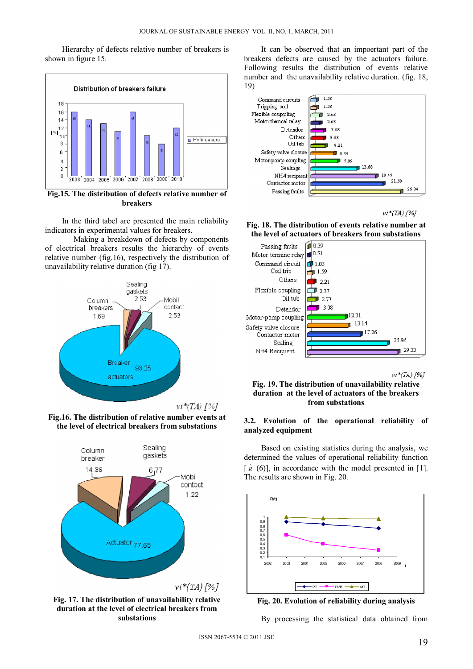Hierarchy of defects relative number of breakers is shown in figure 15.



In the third tabel are presented the main reliability indicators in experimental values for breakers.

Making a breakdown of defects by components of electrical breakers results the hierarchy of events relative number (fig.16), respectively the distribution of unavailability relative duration (fig 17).



**Fig.16. The distribution of relative number events at the level of electrical breakers from substations** 



**Fig. 17. The distribution of unavailability relative duration at the level of electrical breakers from substations** 

It can be observed that an impoertant part of the breakers defects are caused by the actuators failure. Following results the distribution of events relative number and the unavailability relative duration. (fig. 18, 19)



 $vi*(TA)$  [%]

**Fig. 18. The distribution of events relative number at the level of actuators of breakers from substations** 



 $vi*(TA)$  [%]

**Fig. 19. The distribution of unavailability relative duration at the level of actuators of the breakers from substations** 

#### **3.2. Evolution of the operational reliability of analyzed equipment**

Based on existing statistics during the analysis, we determined the values of operational reliability function  $[\hat{R}(6)]$ , in accordance with the model presented in [1]. The results are shown in Fig. 20.





By processing the statistical data obtained from